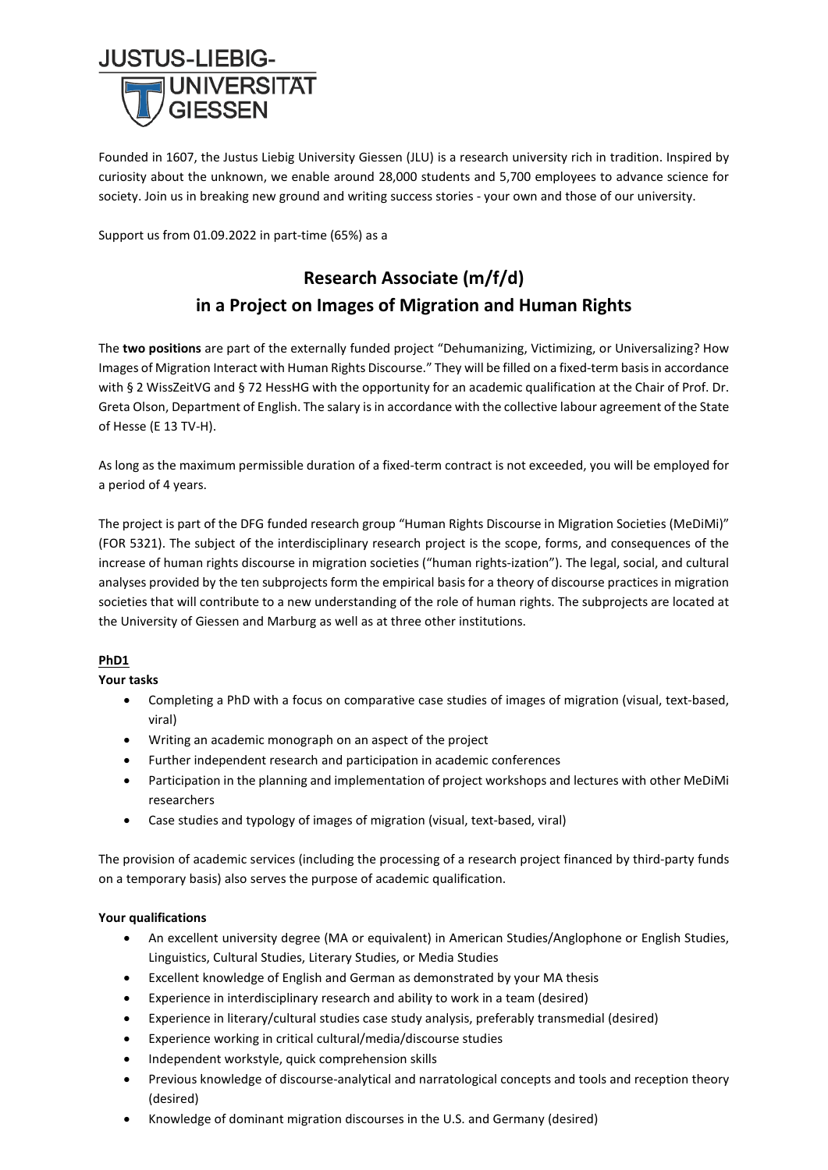

Founded in 1607, the Justus Liebig University Giessen (JLU) is a research university rich in tradition. Inspired by curiosity about the unknown, we enable around 28,000 students and 5,700 employees to advance science for society. Join us in breaking new ground and writing success stories - your own and those of our university.

Support us from 01.09.2022 in part-time (65%) as a

# **Research Associate (m/f/d) in a Project on Images of Migration and Human Rights**

The **two positions** are part of the externally funded project "Dehumanizing, Victimizing, or Universalizing? How Images of Migration Interact with Human Rights Discourse." They will be filled on a fixed-term basis in accordance with § 2 WissZeitVG and § 72 HessHG with the opportunity for an academic qualification at the Chair of Prof. Dr. Greta Olson, Department of English. The salary is in accordance with the collective labour agreement of the State of Hesse (E 13 TV-H).

As long as the maximum permissible duration of a fixed-term contract is not exceeded, you will be employed for a period of 4 years.

The project is part of the DFG funded research group "Human Rights Discourse in Migration Societies (MeDiMi)" (FOR 5321). The subject of the interdisciplinary research project is the scope, forms, and consequences of the increase of human rights discourse in migration societies ("human rights-ization"). The legal, social, and cultural analyses provided by the ten subprojects form the empirical basis for a theory of discourse practices in migration societies that will contribute to a new understanding of the role of human rights. The subprojects are located at the University of Giessen and Marburg as well as at three other institutions.

# **PhD1**

**Your tasks** 

- Completing a PhD with a focus on comparative case studies of images of migration (visual, text-based, viral)
- Writing an academic monograph on an aspect of the project
- Further independent research and participation in academic conferences
- Participation in the planning and implementation of project workshops and lectures with other MeDiMi researchers
- Case studies and typology of images of migration (visual, text-based, viral)

The provision of academic services (including the processing of a research project financed by third-party funds on a temporary basis) also serves the purpose of academic qualification.

# **Your qualifications**

- An excellent university degree (MA or equivalent) in American Studies/Anglophone or English Studies, Linguistics, Cultural Studies, Literary Studies, or Media Studies
- Excellent knowledge of English and German as demonstrated by your MA thesis
- Experience in interdisciplinary research and ability to work in a team (desired)
- Experience in literary/cultural studies case study analysis, preferably transmedial (desired)
- Experience working in critical cultural/media/discourse studies
- Independent workstyle, quick comprehension skills
- Previous knowledge of discourse-analytical and narratological concepts and tools and reception theory (desired)
- Knowledge of dominant migration discourses in the U.S. and Germany (desired)